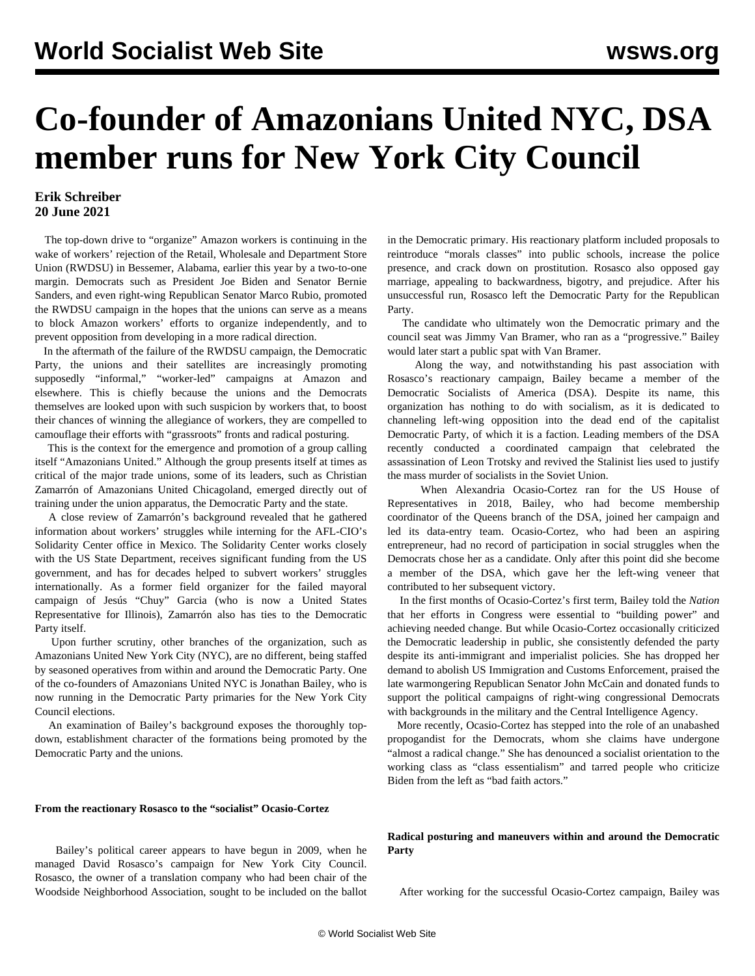# **Co-founder of Amazonians United NYC, DSA member runs for New York City Council**

# **Erik Schreiber 20 June 2021**

 The top-down drive to "organize" Amazon workers is continuing in the wake of workers' rejection of the Retail, Wholesale and Department Store Union (RWDSU) in Bessemer, Alabama, earlier this year by a two-to-one margin. Democrats such as President Joe Biden and Senator Bernie Sanders, and even right-wing Republican Senator Marco Rubio, promoted the RWDSU campaign in the hopes that the unions can serve as a means to block Amazon workers' efforts to organize independently, and to prevent opposition from developing in a more radical direction.

 In the aftermath of the failure of the RWDSU campaign, the Democratic Party, the unions and their satellites are increasingly promoting supposedly "informal," "worker-led" campaigns at Amazon and elsewhere. This is chiefly because the unions and the Democrats themselves are looked upon with such suspicion by workers that, to boost their chances of winning the allegiance of workers, they are compelled to camouflage their efforts with "grassroots" fronts and radical posturing.

 This is the context for the emergence and promotion of a group calling itself "Amazonians United." Although the group presents itself at times as critical of the major trade unions, some of its leaders, such as Christian Zamarrón of [Amazonians United Chicagoland](/en/articles/2021/05/06/amaz-m06.html), emerged directly out of training under the union apparatus, the Democratic Party and the state.

 A close review of Zamarrón's background revealed that he gathered information about workers' struggles while interning for the AFL-CIO's Solidarity Center office in Mexico. The Solidarity Center works closely with the US State Department, receives significant funding from the US government, and has for decades helped to subvert workers' struggles internationally. As a former field organizer for the failed mayoral campaign of Jesús "Chuy" Garcia (who is now a United States Representative for Illinois), Zamarrón also has ties to the Democratic Party itself.

 Upon further scrutiny, other branches of the organization, such as Amazonians United New York City (NYC), are no different, being staffed by seasoned operatives from within and around the Democratic Party. One of the co-founders of Amazonians United NYC is Jonathan Bailey, who is now running in the Democratic Party primaries for the New York City Council elections.

 An examination of Bailey's background exposes the thoroughly topdown, establishment character of the formations being promoted by the Democratic Party and the unions.

#### **From the reactionary Rosasco to the "socialist" Ocasio-Cortez**

 Bailey's political career appears to have begun in 2009, when he managed David Rosasco's campaign for New York City Council. Rosasco, the owner of a translation company who had been chair of the Woodside Neighborhood Association, sought to be included on the ballot in the Democratic primary. His reactionary platform included proposals to reintroduce "morals classes" into public schools, increase the police presence, and crack down on prostitution. Rosasco also opposed gay marriage, appealing to backwardness, bigotry, and prejudice. After his unsuccessful run, Rosasco left the Democratic Party for the Republican Party.

 The candidate who ultimately won the Democratic primary and the council seat was Jimmy Van Bramer, who ran as a "progressive." Bailey would later start a public spat with Van Bramer.

 Along the way, and notwithstanding his past association with Rosasco's reactionary campaign, Bailey became a member of the [Democratic Socialists of America \(DSA\).](/en/articles/2017/08/03/dsoc-a03.html) Despite its name, this organization has nothing to do with socialism, as it is dedicated to channeling left-wing opposition into the dead end of the capitalist Democratic Party, of which it is a faction. Leading members of the DSA recently conducted a coordinated campaign that [celebrated the](/en/articles/2021/05/18/pers-m18.html) [assassination of Leon Trotsky](/en/articles/2021/05/18/pers-m18.html) and revived the Stalinist lies used to justify the mass murder of socialists in the Soviet Union.

 When Alexandria Ocasio-Cortez ran for the US House of Representatives in 2018, Bailey, who had become membership coordinator of the Queens branch of the DSA, joined her campaign and led its data-entry team. Ocasio-Cortez, who had been an [aspiring](/en/articles/2021/03/30/cort-m30.html) [entrepreneur,](/en/articles/2021/03/30/cort-m30.html) had no record of participation in social struggles when the Democrats chose her as a candidate. Only after this point did she become a member of the DSA, which gave her the left-wing veneer that contributed to her subsequent victory.

 In the first months of Ocasio-Cortez's first term, Bailey told the *Nation* that her efforts in Congress were essential to "building power" and achieving needed change. But while Ocasio-Cortez occasionally criticized the Democratic leadership in public, she consistently defended the party despite its anti-immigrant and imperialist policies. She has dropped her demand to abolish US Immigration and Customs Enforcement, praised the late warmongering Republican Senator John McCain and donated funds to support the political campaigns of right-wing congressional Democrats with backgrounds in the military and the Central Intelligence Agency.

 More recently, Ocasio-Cortez has stepped into the role of an unabashed propogandist for the Democrats, whom she claims have undergone "almost a radical change." She has denounced a socialist orientation to the working class as "class essentialism" and tarred people who criticize Biden from the left as "bad faith actors."

## **Radical posturing and maneuvers within and around the Democratic Party**

After working for the successful Ocasio-Cortez campaign, Bailey was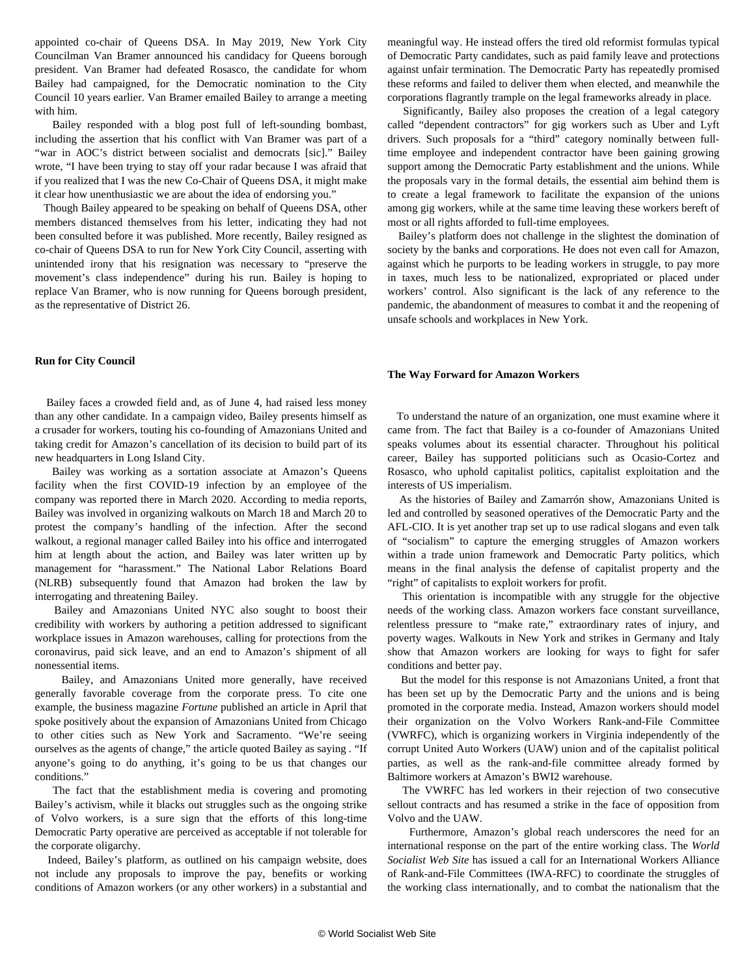appointed co-chair of Queens DSA. In May 2019, New York City Councilman Van Bramer announced his candidacy for Queens borough president. Van Bramer had defeated Rosasco, the candidate for whom Bailey had campaigned, for the Democratic nomination to the City Council 10 years earlier. Van Bramer emailed Bailey to arrange a meeting with him.

 Bailey responded with a blog post full of left-sounding bombast, including the assertion that his conflict with Van Bramer was part of a "war in AOC's district between socialist and democrats [sic]." Bailey wrote, "I have been trying to stay off your radar because I was afraid that if you realized that I was the new Co-Chair of Queens DSA, it might make it clear how unenthusiastic we are about the idea of endorsing you."

 Though Bailey appeared to be speaking on behalf of Queens DSA, other members distanced themselves from his letter, indicating they had not been consulted before it was published. More recently, Bailey resigned as co-chair of Queens DSA to run for New York City Council, asserting with unintended irony that his resignation was necessary to "preserve the movement's class independence" during his run. Bailey is hoping to replace Van Bramer, who is now running for Queens borough president, as the representative of District 26.

### **Run for City Council**

 Bailey faces a crowded field and, as of June 4, had raised less money than any other candidate. In a campaign video, Bailey presents himself as a crusader for workers, touting his co-founding of Amazonians United and taking credit for Amazon's cancellation of its decision to build part of its new headquarters in Long Island City.

 Bailey was working as a sortation associate at Amazon's Queens facility when the first COVID-19 infection by an employee of the company was reported there in March 2020. According to media reports, Bailey was involved in organizing walkouts on March 18 and March 20 to protest the company's handling of the infection. After the second walkout, a regional manager called Bailey into his office and interrogated him at length about the action, and Bailey was later written up by management for "harassment." The National Labor Relations Board (NLRB) subsequently found that Amazon had broken the law by interrogating and threatening Bailey.

 Bailey and Amazonians United NYC also sought to boost their credibility with workers by authoring a petition addressed to significant workplace issues in Amazon warehouses, calling for protections from the coronavirus, paid sick leave, and an end to Amazon's shipment of all nonessential items.

 Bailey, and Amazonians United more generally, have received generally favorable coverage from the corporate press. To cite one example, the business magazine *Fortune* published an article in April that spoke positively about the expansion of Amazonians United from Chicago to other cities such as New York and Sacramento. "We're seeing ourselves as the agents of change," the article quoted Bailey as saying *.* "If anyone's going to do anything, it's going to be us that changes our conditions."

 The fact that the establishment media is covering and promoting Bailey's activism, while it blacks out struggles such as the ongoing strike of Volvo workers, is a sure sign that the efforts of this long-time Democratic Party operative are perceived as acceptable if not tolerable for the corporate oligarchy.

 Indeed, Bailey's platform, as outlined on his campaign website, does not include any proposals to improve the pay, benefits or working conditions of Amazon workers (or any other workers) in a substantial and

meaningful way. He instead offers the tired old reformist formulas typical of Democratic Party candidates, such as paid family leave and protections against unfair termination. The Democratic Party has repeatedly promised these reforms and failed to deliver them when elected, and meanwhile the corporations flagrantly trample on the legal frameworks already in place.

 Significantly, Bailey also proposes the creation of a legal category called "dependent contractors" for gig workers such as Uber and Lyft drivers. Such proposals for a "third" category nominally between fulltime employee and independent contractor have been gaining growing support among the Democratic Party establishment and the unions. While the proposals vary in the formal details, the essential aim behind them is to create a legal framework to facilitate the expansion of the unions among gig workers, while at the same time leaving these workers bereft of most or all rights afforded to full-time employees.

 Bailey's platform does not challenge in the slightest the domination of society by the banks and corporations. He does not even call for Amazon, against which he purports to be leading workers in struggle, to pay more in taxes, much less to be nationalized, expropriated or placed under workers' control. Also significant is the lack of any reference to the pandemic, the abandonment of measures to combat it and the reopening of unsafe schools and workplaces in New York.

#### **The Way Forward for Amazon Workers**

 To understand the nature of an organization, one must examine where it came from. The fact that Bailey is a co-founder of Amazonians United speaks volumes about its essential character. Throughout his political career, Bailey has supported politicians such as Ocasio-Cortez and Rosasco, who uphold capitalist politics, capitalist exploitation and the interests of US imperialism.

 As the histories of Bailey and Zamarrón show, Amazonians United is led and controlled by seasoned operatives of the Democratic Party and the AFL-CIO. It is yet another trap set up to use radical slogans and even talk of "socialism" to capture the emerging struggles of Amazon workers within a trade union framework and Democratic Party politics, which means in the final analysis the defense of capitalist property and the "right" of capitalists to exploit workers for profit.

 This orientation is incompatible with any struggle for the objective needs of the working class. Amazon workers face constant surveillance, relentless pressure to "make rate," extraordinary rates of injury, and poverty wages. Walkouts in New York and strikes in Germany and Italy show that Amazon workers are looking for ways to fight for safer conditions and better pay.

 But the model for this response is not Amazonians United, a front that has been set up by the Democratic Party and the unions and is being promoted in the corporate media. Instead, Amazon workers should model their organization on the [Volvo Workers Rank-and-File Committee](/en/articles/2021/06/15/volv-j15.html) (VWRFC), which is organizing workers in Virginia independently of the corrupt United Auto Workers (UAW) union and of the capitalist political parties, as well as the rank-and-file committee already formed by Baltimore workers at Amazon's BWI2 warehouse.

 The VWRFC has led workers in their rejection of two consecutive sellout contracts and has resumed a strike in the face of opposition from Volvo and the UAW.

 Furthermore, Amazon's global reach underscores the need for an international response on the part of the entire working class. The *World Socialist Web Site* has issued a call for an [International Workers Alliance](/en/articles/2021/04/24/pers-a24.html) [of Rank-and-File Committees \(IWA-RFC\)](/en/articles/2021/04/24/pers-a24.html) to coordinate the struggles of the working class internationally, and to combat the nationalism that the